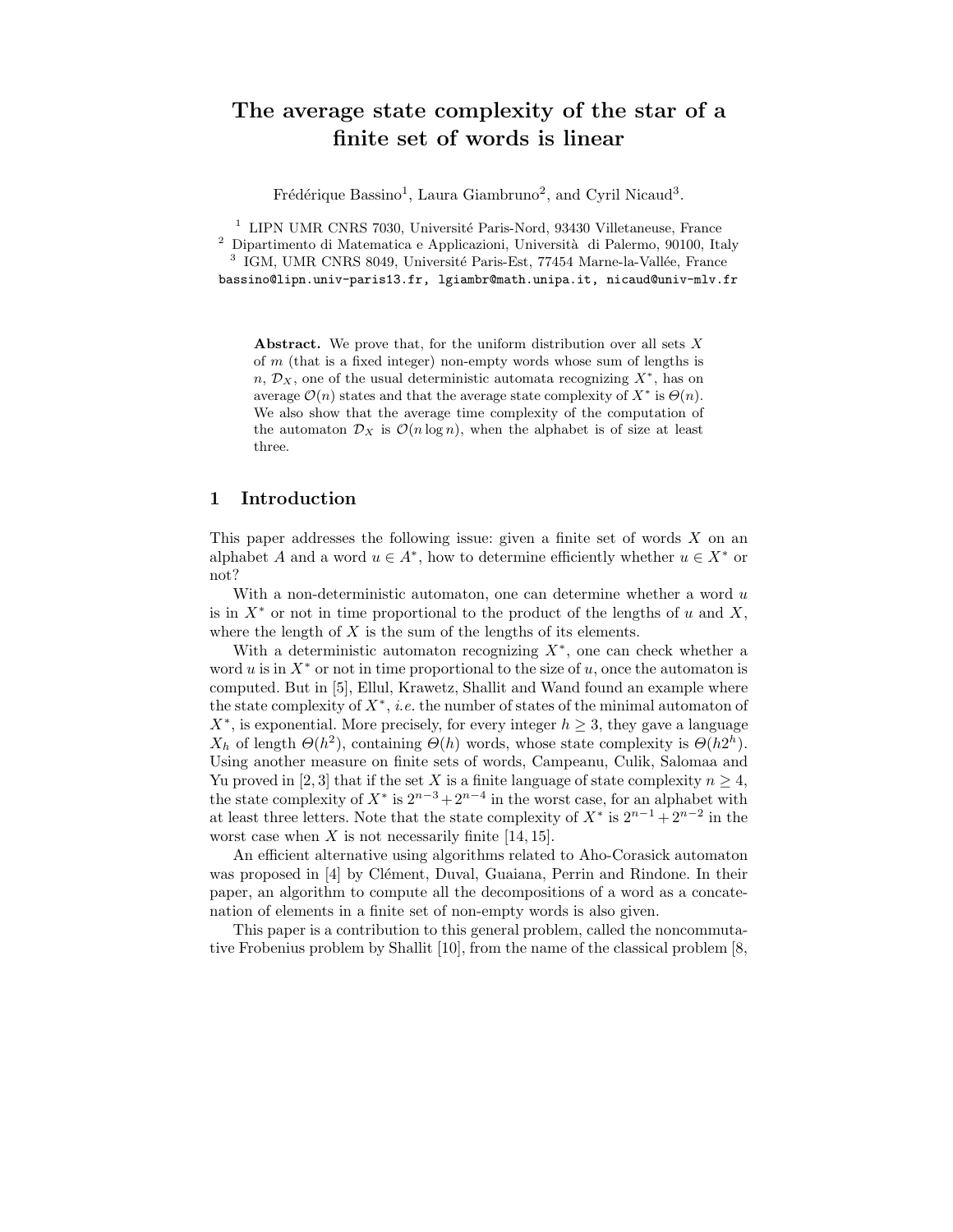# The average state complexity of the star of a finite set of words is linear

Frédérique Bassino<sup>1</sup>, Laura Giambruno<sup>2</sup>, and Cyril Nicaud<sup>3</sup>.

 $1$  LIPN UMR CNRS 7030, Université Paris-Nord, 93430 Villetaneuse, France

<sup>2</sup> Dipartimento di Matematica e Applicazioni, Università di Palermo, 90100, Italy <sup>3</sup> IGM, UMR CNRS 8049, Université Paris-Est, 77454 Marne-la-Vallée, France

bassino@lipn.univ-paris13.fr, lgiambr@math.unipa.it, nicaud@univ-mlv.fr

Abstract. We prove that, for the uniform distribution over all sets  $X$ of  $m$  (that is a fixed integer) non-empty words whose sum of lengths is  $n, \mathcal{D}_X$ , one of the usual deterministic automata recognizing  $X^*$ , has on average  $\mathcal{O}(n)$  states and that the average state complexity of  $X^*$  is  $\Theta(n)$ . We also show that the average time complexity of the computation of the automaton  $\mathcal{D}_X$  is  $\mathcal{O}(n \log n)$ , when the alphabet is of size at least three.

## 1 Introduction

This paper addresses the following issue: given a finite set of words  $X$  on an alphabet A and a word  $u \in A^*$ , how to determine efficiently whether  $u \in X^*$  or not?

With a non-deterministic automaton, one can determine whether a word  $u$ is in  $X^*$  or not in time proportional to the product of the lengths of u and X, where the length of  $X$  is the sum of the lengths of its elements.

With a deterministic automaton recognizing  $X^*$ , one can check whether a word u is in  $X^*$  or not in time proportional to the size of u, once the automaton is computed. But in [5], Ellul, Krawetz, Shallit and Wand found an example where the state complexity of  $X^*$ , *i.e.* the number of states of the minimal automaton of  $X^*$ , is exponential. More precisely, for every integer  $h \geq 3$ , they gave a language  $X_h$  of length  $\Theta(h^2)$ , containing  $\Theta(h)$  words, whose state complexity is  $\Theta(h2^h)$ . Using another measure on finite sets of words, Campeanu, Culik, Salomaa and Yu proved in [2, 3] that if the set X is a finite language of state complexity  $n \geq 4$ , the state complexity of  $X^*$  is  $2^{n-3}+2^{n-4}$  in the worst case, for an alphabet with at least three letters. Note that the state complexity of  $X^*$  is  $2^{n-1} + 2^{n-2}$  in the worst case when  $X$  is not necessarily finite [14, 15].

An efficient alternative using algorithms related to Aho-Corasick automaton was proposed in [4] by Clément, Duval, Guaiana, Perrin and Rindone. In their paper, an algorithm to compute all the decompositions of a word as a concatenation of elements in a finite set of non-empty words is also given.

This paper is a contribution to this general problem, called the noncommutative Frobenius problem by Shallit [10], from the name of the classical problem [8,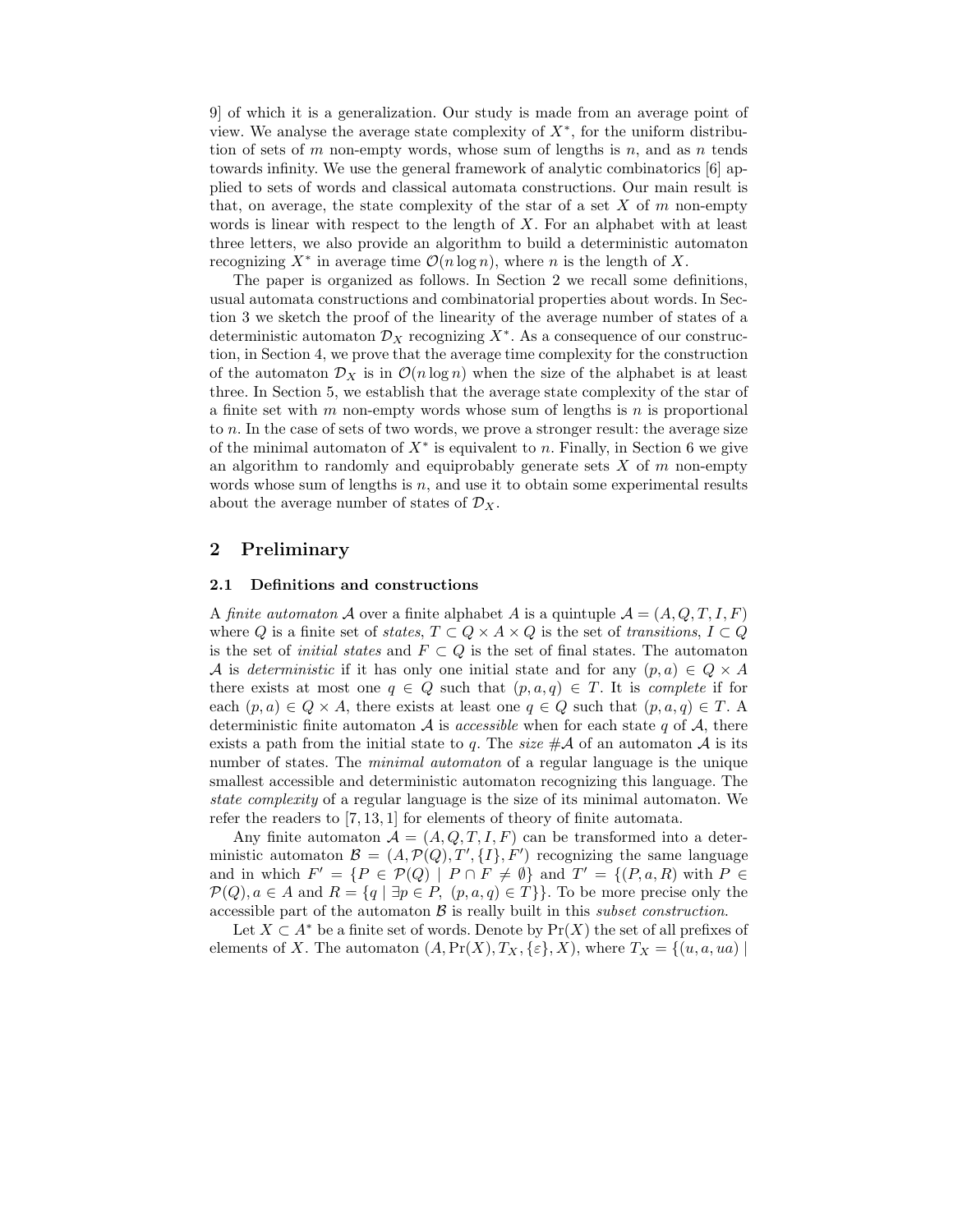9] of which it is a generalization. Our study is made from an average point of view. We analyse the average state complexity of  $X^*$ , for the uniform distribution of sets of m non-empty words, whose sum of lengths is n, and as n tends towards infinity. We use the general framework of analytic combinatorics [6] applied to sets of words and classical automata constructions. Our main result is that, on average, the state complexity of the star of a set  $X$  of  $m$  non-empty words is linear with respect to the length of  $X$ . For an alphabet with at least three letters, we also provide an algorithm to build a deterministic automaton recognizing  $X^*$  in average time  $\mathcal{O}(n \log n)$ , where n is the length of X.

The paper is organized as follows. In Section 2 we recall some definitions, usual automata constructions and combinatorial properties about words. In Section 3 we sketch the proof of the linearity of the average number of states of a deterministic automaton  $\mathcal{D}_X$  recognizing  $X^*$ . As a consequence of our construction, in Section 4, we prove that the average time complexity for the construction of the automaton  $\mathcal{D}_X$  is in  $\mathcal{O}(n \log n)$  when the size of the alphabet is at least three. In Section 5, we establish that the average state complexity of the star of a finite set with  $m$  non-empty words whose sum of lengths is  $n$  is proportional to n. In the case of sets of two words, we prove a stronger result: the average size of the minimal automaton of  $X^*$  is equivalent to n. Finally, in Section 6 we give an algorithm to randomly and equiprobably generate sets  $X$  of  $m$  non-empty words whose sum of lengths is  $n$ , and use it to obtain some experimental results about the average number of states of  $\mathcal{D}_X$ .

## 2 Preliminary

#### 2.1 Definitions and constructions

A finite automaton A over a finite alphabet A is a quintuple  $\mathcal{A} = (A, Q, T, I, F)$ where Q is a finite set of states,  $T \subset Q \times A \times Q$  is the set of transitions,  $I \subset Q$ is the set of *initial states* and  $F \subset Q$  is the set of final states. The automaton A is deterministic if it has only one initial state and for any  $(p, a) \in Q \times A$ there exists at most one  $q \in Q$  such that  $(p, a, q) \in T$ . It is *complete* if for each  $(p, a) \in Q \times A$ , there exists at least one  $q \in Q$  such that  $(p, a, q) \in T$ . A deterministic finite automaton  $A$  is *accessible* when for each state q of  $A$ , there exists a path from the initial state to q. The size  $\#\mathcal{A}$  of an automaton  $\mathcal{A}$  is its number of states. The *minimal automaton* of a regular language is the unique smallest accessible and deterministic automaton recognizing this language. The state complexity of a regular language is the size of its minimal automaton. We refer the readers to [7, 13, 1] for elements of theory of finite automata.

Any finite automaton  $\mathcal{A} = (A, Q, T, I, F)$  can be transformed into a deterministic automaton  $\mathcal{B} = (A, \mathcal{P}(Q), T', \{I\}, F')$  recognizing the same language and in which  $F' = \{ P \in \mathcal{P}(Q) \mid P \cap F \neq \emptyset \}$  and  $T' = \{ (P, a, R)$  with  $P \in$  $\mathcal{P}(Q), a \in A$  and  $R = \{q \mid \exists p \in P, (p, a, q) \in T\}\}.$  To be more precise only the accessible part of the automaton  $\beta$  is really built in this *subset construction*.

Let  $X \subset A^*$  be a finite set of words. Denote by  $Pr(X)$  the set of all prefixes of elements of X. The automaton  $(A, \Pr(X), T_X, \{\varepsilon\}, X)$ , where  $T_X = \{(u, a, ua) \mid$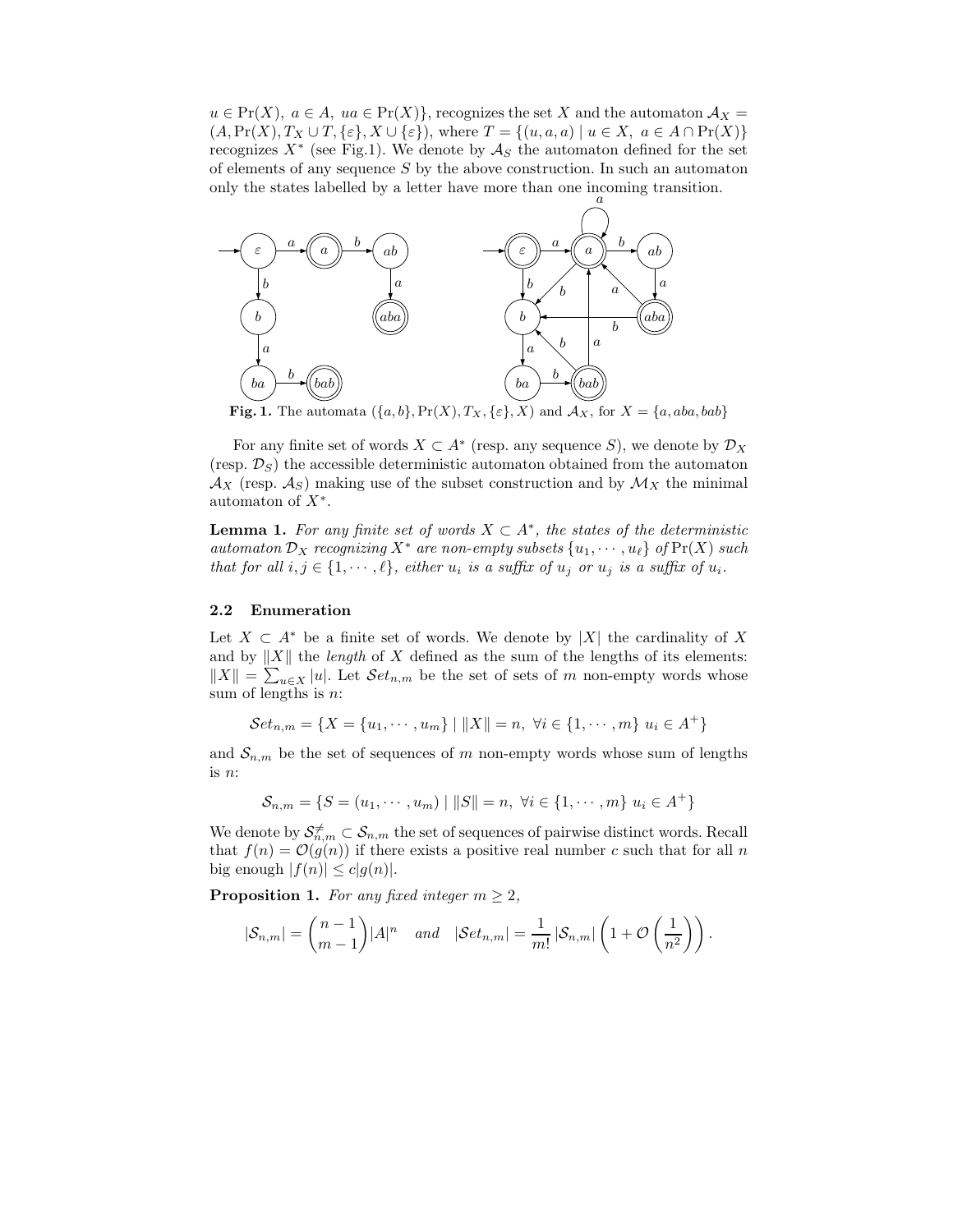$u \in Pr(X)$ ,  $a \in A$ ,  $ua \in Pr(X)$ , recognizes the set X and the automaton  $A_X =$  $(A, \Pr(X), T_X \cup T, \{\varepsilon\}, X \cup \{\varepsilon\})$ , where  $T = \{(u, a, a) \mid u \in X, a \in A \cap \Pr(X)\}\$ recognizes  $X^*$  (see Fig.1). We denote by  $\mathcal{A}_S$  the automaton defined for the set of elements of any sequence  $S$  by the above construction. In such an automaton only the states labelled by a letter have more than one incoming transition.



Fig. 1. The automata  $({a, b}, Pr(X), T_X, {\varepsilon}, X)$  and  $\mathcal{A}_X$ , for  $X = {a, aba, bab}$ 

For any finite set of words  $X \subset A^*$  (resp. any sequence S), we denote by  $\mathcal{D}_X$ (resp.  $\mathcal{D}_S$ ) the accessible deterministic automaton obtained from the automaton  $\mathcal{A}_X$  (resp.  $\mathcal{A}_S$ ) making use of the subset construction and by  $\mathcal{M}_X$  the minimal automaton of  $X^*$ .

**Lemma 1.** For any finite set of words  $X \subset A^*$ , the states of the deterministic automaton  $\mathcal{D}_X$  recognizing  $X^*$  are non-empty subsets  $\{u_1, \dots, u_\ell\}$  of  $\Pr(X)$  such that for all  $i, j \in \{1, \dots, \ell\}$ , either  $u_i$  is a suffix of  $u_j$  or  $u_j$  is a suffix of  $u_i$ .

### 2.2 Enumeration

Let  $X \subset A^*$  be a finite set of words. We denote by |X| the cardinality of X and by  $||X||$  the *length* of X defined as the sum of the lengths of its elements:  $||X|| = \sum_{u \in X} |u|$ . Let  $\mathcal{S}et_{n,m}$  be the set of sets of m non-empty words whose sum of lengths is  $n$ :

Set<sub>n,m</sub> = {
$$
X
$$
 = { $u_1$ , · · · ,  $u_m$ } |  $||X||$  =  $n$ ,  $\forall i \in \{1, \dots, m\}$   $u_i \in A^+\}$ 

and  $S_{n,m}$  be the set of sequences of m non-empty words whose sum of lengths is n:

$$
S_{n,m} = \{ S = (u_1, \dots, u_m) \mid ||S|| = n, \ \forall i \in \{1, \dots, m\} \ u_i \in A^+ \}
$$

We denote by  $\mathcal{S}_{n,m}^{\neq} \subset \mathcal{S}_{n,m}$  the set of sequences of pairwise distinct words. Recall that  $f(n) = \mathcal{O}(g(n))$  if there exists a positive real number c such that for all n big enough  $|f(n)| \leq c|g(n)|$ .

**Proposition 1.** For any fixed integer  $m \geq 2$ ,

$$
|\mathcal{S}_{n,m}| = \binom{n-1}{m-1} |A|^n \quad and \quad |\mathcal{S}et_{n,m}| = \frac{1}{m!} |\mathcal{S}_{n,m}| \left(1 + \mathcal{O}\left(\frac{1}{n^2}\right)\right).
$$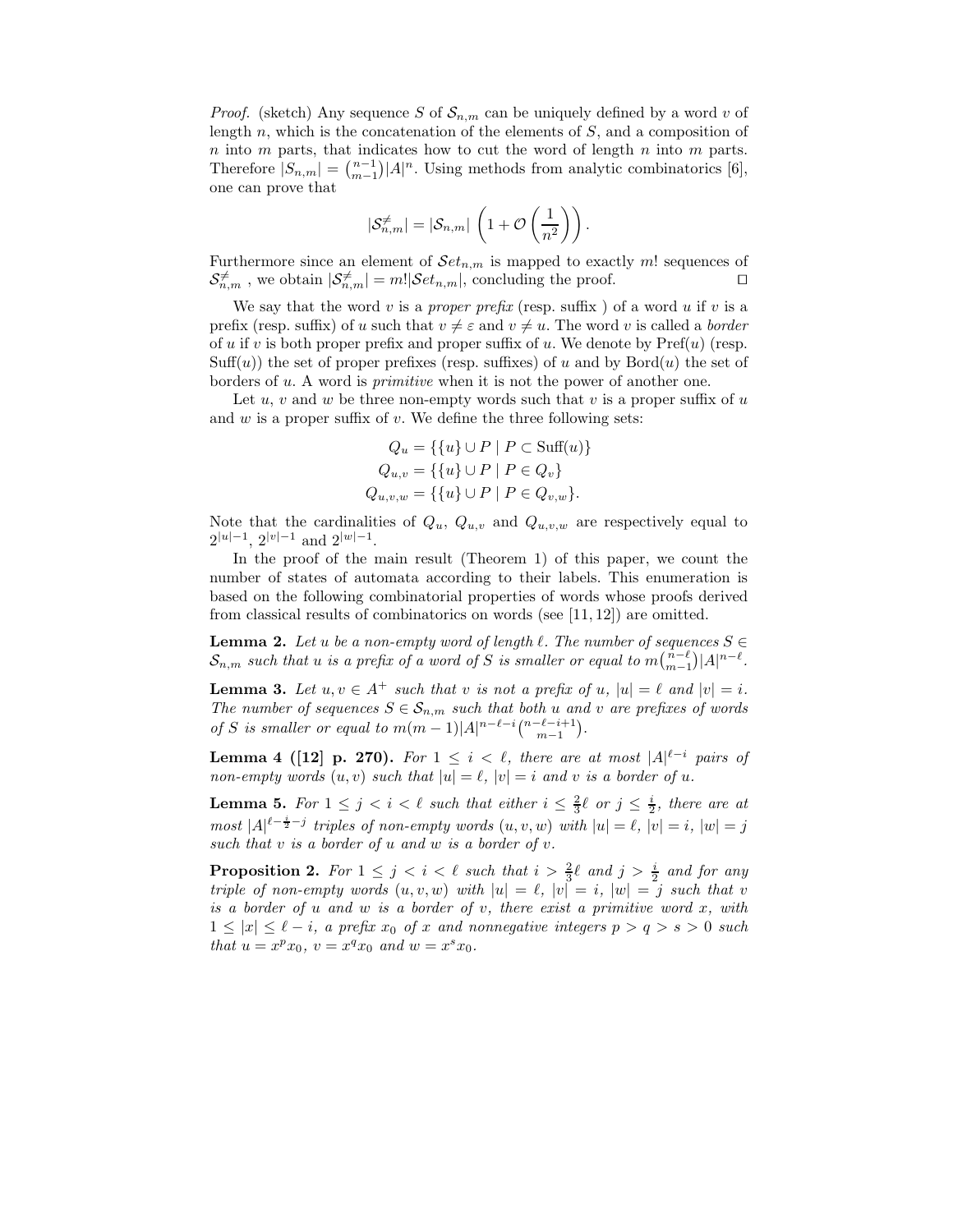*Proof.* (sketch) Any sequence S of  $S_{n,m}$  can be uniquely defined by a word v of length  $n$ , which is the concatenation of the elements of  $S$ , and a composition of  $n$  into  $m$  parts, that indicates how to cut the word of length  $n$  into  $m$  parts. Therefore  $|S_{n,m}| = \binom{n-1}{m-1} |A|^n$ . Using methods from analytic combinatorics [6], one can prove that

$$
|\mathcal{S}_{n,m}^{\neq}|=|\mathcal{S}_{n,m}|\,\left(1+\mathcal{O}\left(\frac{1}{n^2}\right)\right).
$$

Furthermore since an element of  $\mathcal{S}et_{n,m}$  is mapped to exactly m! sequences of  $S_{n,m}^{\neq}$ , we obtain  $|S_{n,m}^{\neq}| = m! |\mathcal{S}et_{n,m}|$ , concluding the proof. □

We say that the word v is a proper prefix (resp. suffix) of a word u if v is a prefix (resp. suffix) of u such that  $v \neq \varepsilon$  and  $v \neq u$ . The word v is called a border of u if v is both proper prefix and proper suffix of u. We denote by  $\text{Pref}(u)$  (resp.  $Suff(u)$ ) the set of proper prefixes (resp. suffixes) of u and by Bord $(u)$  the set of borders of u. A word is primitive when it is not the power of another one.

Let  $u, v$  and  $w$  be three non-empty words such that  $v$  is a proper suffix of  $u$ and  $w$  is a proper suffix of  $v$ . We define the three following sets:

$$
Q_u = \{ \{u\} \cup P \mid P \subset \text{Suff}(u) \}
$$
  

$$
Q_{u,v} = \{ \{u\} \cup P \mid P \in Q_v \}
$$
  

$$
Q_{u,v,w} = \{ \{u\} \cup P \mid P \in Q_{v,w} \}.
$$

Note that the cardinalities of  $Q_u$ ,  $Q_{u,v}$  and  $Q_{u,v,w}$  are respectively equal to  $2^{|u|-1}$ ,  $2^{|v|-1}$  and  $2^{|w|-1}$ .

In the proof of the main result (Theorem 1) of this paper, we count the number of states of automata according to their labels. This enumeration is based on the following combinatorial properties of words whose proofs derived from classical results of combinatorics on words (see [11, 12]) are omitted.

**Lemma 2.** Let u be a non-empty word of length  $\ell$ . The number of sequences  $S \in$  $\mathcal{S}_{n,m}$  such that u is a prefix of a word of S is smaller or equal to  $m\binom{n-\ell}{m-1}|A|^{n-\ell}$ .

**Lemma 3.** Let  $u, v \in A^+$  such that v is not a prefix of u,  $|u| = \ell$  and  $|v| = i$ . The number of sequences  $S \in \mathcal{S}_{n,m}$  such that both u and v are prefixes of words of S is smaller or equal to  $m(m-1)|A|^{n-\ell-i} \binom{n-\ell-i+1}{m-1}$ .

**Lemma 4 ([12] p. 270).** For  $1 \leq i < \ell$ , there are at most  $|A|^{\ell-i}$  pairs of non-empty words  $(u, v)$  such that  $|u| = \ell$ ,  $|v| = i$  and v is a border of u.

**Lemma 5.** For  $1 \leq j \leq i \leq \ell$  such that either  $i \leq \frac{2}{3}\ell$  or  $j \leq \frac{i}{2}$ , there are at most  $|A|^{l-\frac{i}{2}-j}$  triples of non-empty words  $(u, v, w)$  with  $|u| = l$ ,  $|v| = i$ ,  $|w| = j$ such that  $v$  is a border of  $u$  and  $w$  is a border of  $v$ .

**Proposition 2.** For  $1 \leq j \leq i \leq \ell$  such that  $i > \frac{2}{3}\ell$  and  $j > \frac{i}{2}$  and for any triple of non-empty words  $(u, v, w)$  with  $|u| = \ell$ ,  $|v| = i$ ,  $|w| = j$  such that v is a border of  $u$  and  $w$  is a border of  $v$ , there exist a primitive word  $x$ , with  $1 \leq |x| \leq \ell - i$ , a prefix  $x_0$  of x and nonnegative integers  $p > q > s > 0$  such that  $u = x^p x_0$ ,  $v = x^q x_0$  and  $w = x^s x_0$ .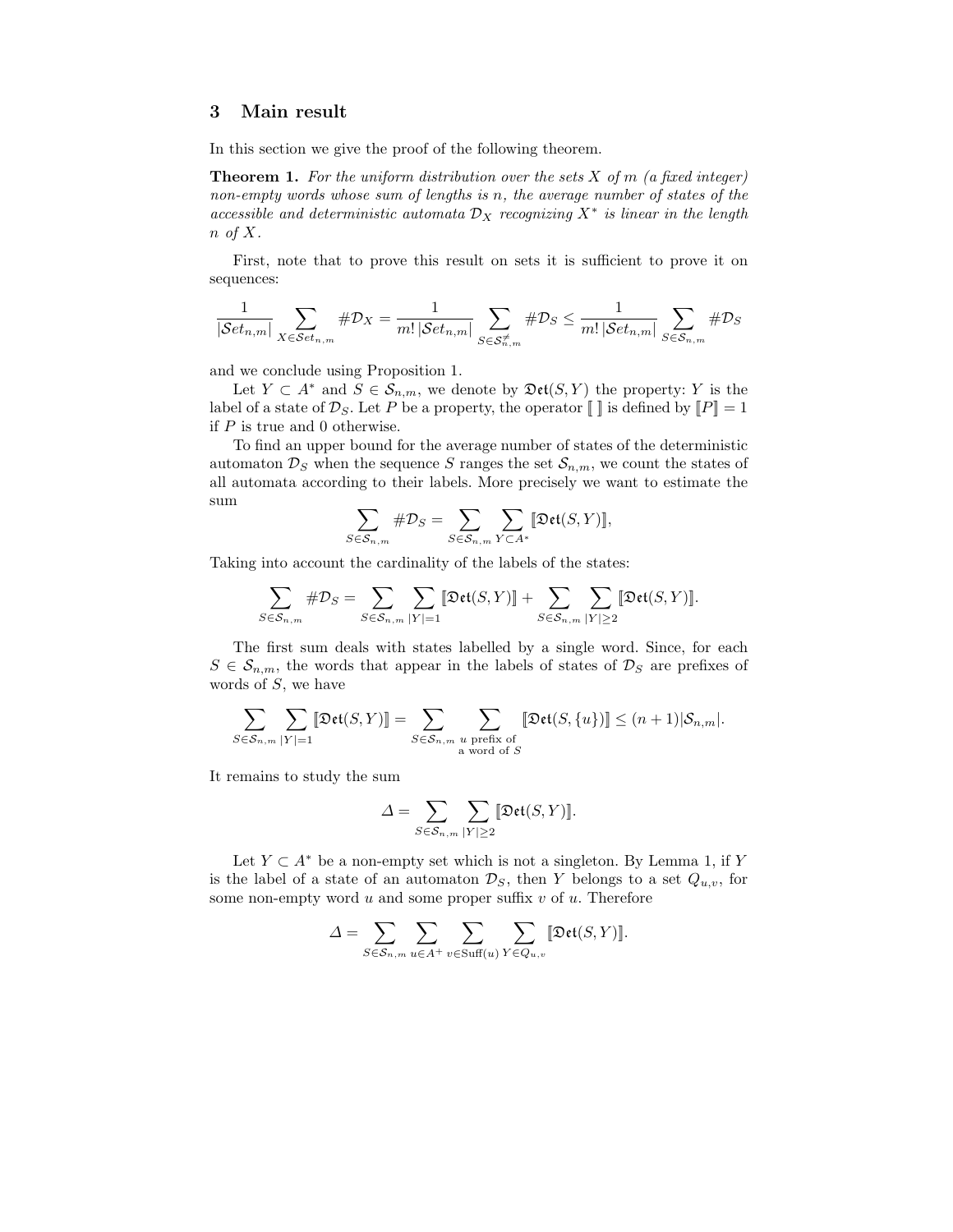## 3 Main result

In this section we give the proof of the following theorem.

**Theorem 1.** For the uniform distribution over the sets  $X$  of  $m$  (a fixed integer) non-empty words whose sum of lengths is n, the average number of states of the accessible and deterministic automata  $\mathcal{D}_X$  recognizing  $X^*$  is linear in the length  $n \text{ of } X.$ 

First, note that to prove this result on sets it is sufficient to prove it on sequences:

$$
\frac{1}{|\mathcal{S}et_{n,m}|}\sum_{X\in \mathcal{S}et_{n,m}}\#\mathcal{D}_X=\frac{1}{m!\,|\mathcal{S}et_{n,m}|}\sum_{S\in \mathcal{S}^{\neq}_{n,m}}\#\mathcal{D}_S\leq \frac{1}{m!\,|\mathcal{S}et_{n,m}|}\sum_{S\in \mathcal{S}_{n,m}}\#\mathcal{D}_S
$$

and we conclude using Proposition 1.

Let  $Y \subset A^*$  and  $S \in \mathcal{S}_{n,m}$ , we denote by  $\mathfrak{Det}(S, Y)$  the property: Y is the label of a state of  $\mathcal{D}_S$ . Let P be a property, the operator  $\llbracket \cdot \rrbracket$  is defined by  $\llbracket P \rrbracket = 1$ if  $P$  is true and 0 otherwise.

To find an upper bound for the average number of states of the deterministic automaton  $\mathcal{D}_S$  when the sequence S ranges the set  $\mathcal{S}_{n,m}$ , we count the states of all automata according to their labels. More precisely we want to estimate the sum

$$
\sum_{S \in \mathcal{S}_{n,m}} \# \mathcal{D}_S = \sum_{S \in \mathcal{S}_{n,m}} \sum_{Y \subset A^*} [\mathfrak{Det}(S,Y)],
$$

Taking into account the cardinality of the labels of the states:

$$
\sum_{S\in \mathcal{S}_{n,m}}\#\mathcal{D}_S=\sum_{S\in \mathcal{S}_{n,m}}\sum_{|Y|=1}\llbracket \mathfrak{Det}(S,Y)\rrbracket+\sum_{S\in \mathcal{S}_{n,m}}\sum_{|Y|\geq 2}\llbracket \mathfrak{Det}(S,Y)\rrbracket.
$$

The first sum deals with states labelled by a single word. Since, for each  $S \in \mathcal{S}_{n,m}$ , the words that appear in the labels of states of  $\mathcal{D}_S$  are prefixes of words of S, we have

$$
\sum_{S \in \mathcal{S}_{n,m}} \sum_{|Y|=1} \llbracket \mathfrak{Det}(S,Y) \rrbracket = \sum_{S \in \mathcal{S}_{n,m}} \sum_{\substack{u \text{ prefix of} \\ \text{a word of } S}} \llbracket \mathfrak{Det}(S,\{u\}) \rrbracket \leq (n+1) |\mathcal{S}_{n,m}|.
$$

It remains to study the sum

$$
\varDelta = \sum_{S \in \mathcal{S}_{n,m}} \sum_{|Y| \geq 2} \llbracket \mathfrak{Det}(S, Y) \rrbracket.
$$

Let  $Y \subset A^*$  be a non-empty set which is not a singleton. By Lemma 1, if Y is the label of a state of an automaton  $\mathcal{D}_S$ , then Y belongs to a set  $Q_{u,v}$ , for some non-empty word  $u$  and some proper suffix  $v$  of  $u$ . Therefore

$$
\Delta = \sum_{S \in \mathcal{S}_{n,m}} \sum_{u \in A^+} \sum_{v \in \text{Suff}(u)} \sum_{Y \in Q_{u,v}} [\text{Det}(S, Y)].
$$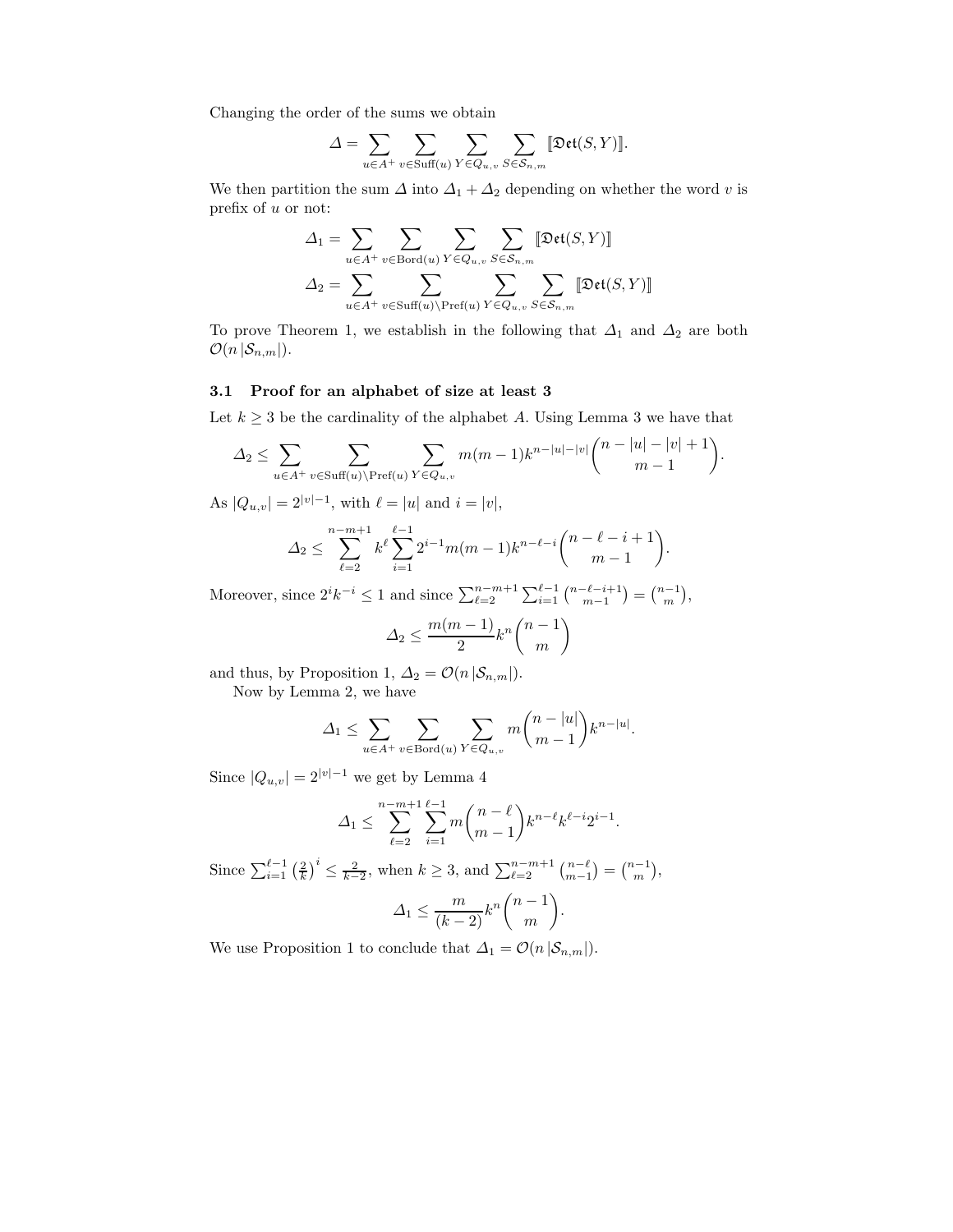Changing the order of the sums we obtain

$$
\Delta = \sum_{u \in A^+} \sum_{v \in \text{Suff}(u)} \sum_{Y \in Q_{u,v}} \sum_{S \in S_{n,m}} [\text{Det}(S, Y)].
$$

We then partition the sum  $\Delta$  into  $\Delta_1 + \Delta_2$  depending on whether the word v is prefix of u or not:

$$
\Delta_1 = \sum_{u \in A^+} \sum_{v \in \text{Bord}(u)} \sum_{Y \in Q_{u,v}} \sum_{S \in S_{n,m}} [\text{Det}(S, Y)]
$$

$$
\Delta_2 = \sum_{u \in A^+} \sum_{v \in \text{Suff}(u) \setminus \text{Pref}(u)} \sum_{Y \in Q_{u,v}} \sum_{S \in S_{n,m}} [\text{Det}(S, Y)]
$$

To prove Theorem 1, we establish in the following that  $\Delta_1$  and  $\Delta_2$  are both  $\mathcal{O}(n |\mathcal{S}_{n,m}|).$ 

#### 3.1 Proof for an alphabet of size at least 3

Let  $k \geq 3$  be the cardinality of the alphabet A. Using Lemma 3 we have that

$$
\Delta_2 \leq \sum_{u \in A^+} \sum_{v \in \text{Suff}(u) \backslash \text{Pref}(u)} \sum_{Y \in Q_{u,v}} m(m-1)k^{n-|u|-|v|} \binom{n-|u|-|v|+1}{m-1}.
$$

As  $|Q_{u,v}| = 2^{|v|-1}$ , with  $\ell = |u|$  and  $i = |v|$ ,

$$
\Delta_2 \le \sum_{\ell=2}^{n-m+1} k^{\ell} \sum_{i=1}^{\ell-1} 2^{i-1} m(m-1) k^{n-\ell-i} \binom{n-\ell-i+1}{m-1}.
$$

Moreover, since  $2^{i}k^{-i} \le 1$  and since  $\sum_{\ell=2}^{n-m+1} \sum_{i=1}^{\ell-1} {n-\ell-i+1 \choose m-1} = {n-1 \choose m}$ ,

$$
\Delta_2 \le \frac{m(m-1)}{2} k^n \binom{n-1}{m}
$$

and thus, by Proposition 1,  $\Delta_2 = \mathcal{O}(n |\mathcal{S}_{n,m}|)$ .

Now by Lemma 2, we have

$$
\Delta_1 \leq \sum_{u \in A^+} \sum_{v \in \text{Bord}(u)} \sum_{Y \in Q_{u,v}} m \binom{n-|u|}{m-1} k^{n-|u|}.
$$

Since  $|Q_{u,v}| = 2^{|v|-1}$  we get by Lemma 4

$$
\Delta_1 \le \sum_{\ell=2}^{n-m+1} \sum_{i=1}^{\ell-1} m \binom{n-\ell}{m-1} k^{n-\ell} k^{\ell-i} 2^{i-1}.
$$

Since  $\sum_{i=1}^{\ell-1} \left(\frac{2}{k}\right)^i \leq \frac{2}{k-2}$ , when  $k \geq 3$ , and  $\sum_{\ell=2}^{n-m+1} \binom{n-\ell}{m-1} = \binom{n-1}{m}$ ,  $\Delta_1 \leq \frac{m}{(k-2)}k^n\binom{n-1}{m}$ m .

We use Proposition 1 to conclude that  $\Delta_1 = \mathcal{O}(n |\mathcal{S}_{n,m}|).$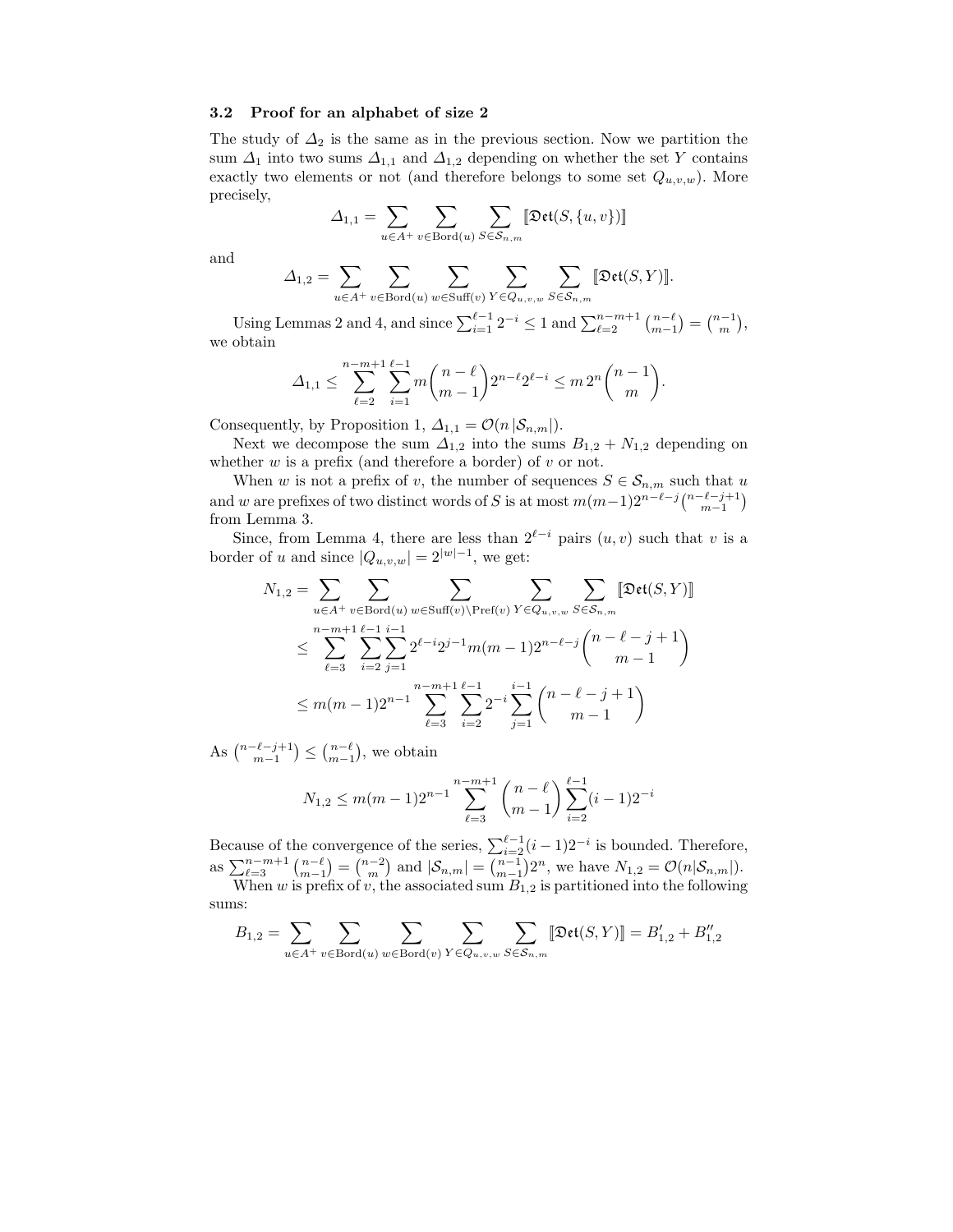#### 3.2 Proof for an alphabet of size 2

The study of  $\Delta_2$  is the same as in the previous section. Now we partition the sum  $\Delta_1$  into two sums  $\Delta_{1,1}$  and  $\Delta_{1,2}$  depending on whether the set Y contains exactly two elements or not (and therefore belongs to some set  $Q_{u,v,w}$ ). More precisely,

$$
\varDelta_{1,1} = \sum_{u \in A^+} \sum_{v \in \text{Bord}(u)} \sum_{S \in \mathcal{S}_{n,m}} [\![\mathfrak{Det}(S, \{u, v\})]\!]
$$

and

$$
\varDelta_{1,2} = \sum_{u \in A^+} \sum_{v \in \text{Bord}(u)} \sum_{w \in \text{Suff}(v)} \sum_{Y \in Q_{u,v,w}} \sum_{S \in \mathcal{S}_{n,m}} [\text{Det}(S,Y)].
$$

Using Lemmas 2 and 4, and since  $\sum_{i=1}^{\ell-1} 2^{-i} \le 1$  and  $\sum_{\ell=2}^{n-m+1} \binom{n-\ell}{m-1} = \binom{n-1}{m}$ , we obtain

$$
\Delta_{1,1} \leq \sum_{\ell=2}^{n-m+1} \sum_{i=1}^{\ell-1} m \binom{n-\ell}{m-1} 2^{n-\ell} 2^{\ell-i} \leq m \, 2^n \binom{n-1}{m}.
$$

Consequently, by Proposition 1,  $\Delta_{1,1} = \mathcal{O}(n |\mathcal{S}_{n,m}|)$ .

Next we decompose the sum  $\Delta_{1,2}$  into the sums  $B_{1,2} + N_{1,2}$  depending on whether  $w$  is a prefix (and therefore a border) of  $v$  or not.

When w is not a prefix of v, the number of sequences  $S \in \mathcal{S}_{n,m}$  such that u and w are prefixes of two distinct words of S is at most  $m(m-1)2^{n-\ell-j} \binom{n-\ell-j+1}{m-1}$ from Lemma 3.

Since, from Lemma 4, there are less than  $2^{\ell-i}$  pairs  $(u, v)$  such that v is a border of u and since  $|Q_{u,v,w}| = 2^{|w|-1}$ , we get:

$$
N_{1,2} = \sum_{u \in A^{+}} \sum_{v \in \text{Bord}(u)} \sum_{w \in \text{Suff}(v) \backslash \text{Pref}(v)} \sum_{Y \in Q_{u,v,w}} \sum_{S \in S_{n,m}} [\text{Det}(S, Y)]
$$
  

$$
\leq \sum_{\ell=3}^{n-m+1} \sum_{i=2}^{\ell-1} \sum_{j=1}^{i-1} 2^{\ell-i} 2^{j-1} m(m-1) 2^{n-\ell-j} {n-\ell-j+1 \choose m-1}
$$
  

$$
\leq m(m-1) 2^{n-1} \sum_{\ell=3}^{n-m+1} \sum_{i=2}^{\ell-1} 2^{-i} \sum_{j=1}^{i-1} {n-\ell-j+1 \choose m-1}
$$

As  $\binom{n-\ell-j+1}{m-1} \leq \binom{n-\ell}{m-1}$ , we obtain

$$
N_{1,2} \le m(m-1)2^{n-1} \sum_{\ell=3}^{n-m+1} {n-\ell \choose m-1} \sum_{i=2}^{\ell-1} (i-1)2^{-i}
$$

Because of the convergence of the series,  $\sum_{i=2}^{\ell-1} (i-1)2^{-i}$  is bounded. Therefore, as  $\sum_{\ell=3}^{n-m+1} {n-\ell \choose m-1} = {n-2 \choose m}$  and  $|\mathcal{S}_{n,m}| = {n-1 \choose m-1} 2^n$ , we have  $N_{1,2} = \mathcal{O}(n|\mathcal{S}_{n,m}|)$ .

When w is prefix of v, the associated sum  $B_{1,2}$  is partitioned into the following sums:

$$
B_{1,2} = \sum_{u \in A^+} \sum_{v \in \operatorname{Bord}(u)} \sum_{w \in \operatorname{Bord}(v)} \sum_{Y \in Q_{u,v,w}} \sum_{S \in \mathcal{S}_{n,m}} \llbracket \mathfrak{Det}(S,Y) \rrbracket = B_{1,2}'+B_{1,2}''
$$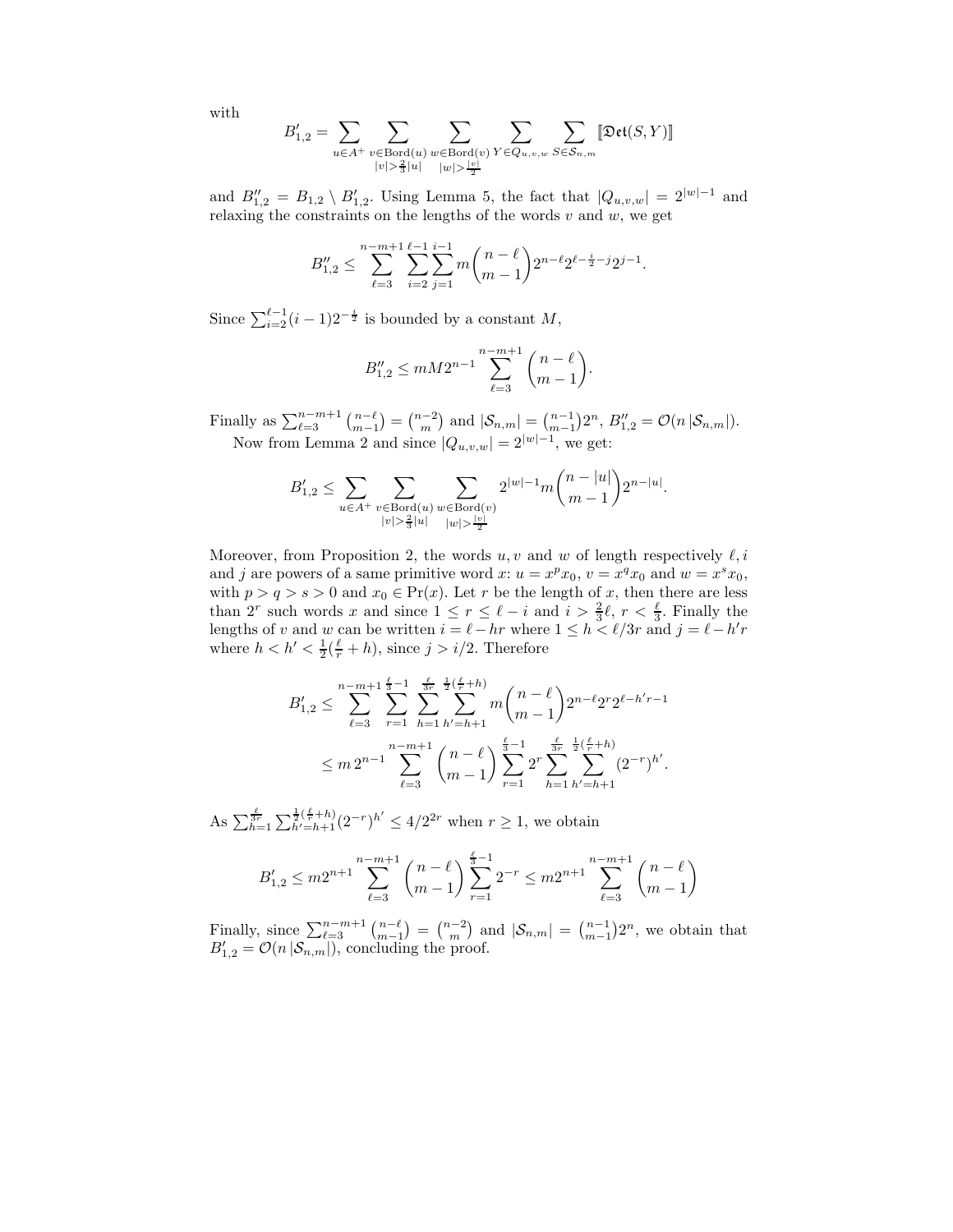with

$$
B_{1,2}'=\sum_{u\in A^+}\sum_{\substack{v\in\mathrm{Bord}(u)\\ |v|\geq \frac{2}{3}|u|}}\sum_{\substack{w\in\mathrm{Bord}(v)\\ |w|>\frac{|v|}{2}}}\sum_{Y\in Q_{u,v,w}}\sum_{S\in\mathcal{S}_{n,m}}\llbracket \mathfrak{Det}(S,Y)\rrbracket
$$

and  $B''_{1,2} = B_{1,2} \setminus B'_{1,2}$ . Using Lemma 5, the fact that  $|Q_{u,v,w}| = 2^{|w|-1}$  and relaxing the constraints on the lengths of the words  $v$  and  $w$ , we get

$$
B_{1,2}'' \leq \sum_{\ell=3}^{n-m+1} \sum_{i=2}^{\ell-1} \sum_{j=1}^{i-1} m \binom{n-\ell}{m-1} 2^{n-\ell} 2^{\ell-\frac{i}{2}-j} 2^{j-1}.
$$

Since  $\sum_{i=2}^{\ell-1} (i-1)2^{-\frac{i}{2}}$  is bounded by a constant M,

$$
B_{1,2}'' \leq mM2^{n-1} \sum_{\ell=3}^{n-m+1} {n-\ell \choose m-1}.
$$

Finally as  $\sum_{\ell=3}^{n-m+1} {n-\ell \choose m-1} = {n-2 \choose m}$  and  $|\mathcal{S}_{n,m}| = {n-1 \choose m-1} 2^n$ ,  $B''_{1,2} = \mathcal{O}(n |\mathcal{S}_{n,m}|)$ . Now from Lemma 2 and since  $|Q_{u,v,w}| = 2^{|w|-1}$ , we get:

$$
B_{1,2}' \leq \sum_{u \in A^+} \sum_{\substack{v \in \text{Bord}(u) \\ |v| > \frac{2}{3} |u|}} \sum_{\substack{w \in \text{Bord}(v) \\ |w| > \frac{|v|}{2}}} 2^{|w|-1} m \binom{n-|u|}{m-1} 2^{n-|u|}.
$$

Moreover, from Proposition 2, the words  $u, v$  and w of length respectively  $\ell, i$ and j are powers of a same primitive word  $x: u = x^p x_0, v = x^q x_0$  and  $w = x^s x_0$ , with  $p > q > s > 0$  and  $x_0 \in \text{Pr}(x)$ . Let r be the length of x, then there are less than 2<sup>r</sup> such words x and since  $1 \leq r \leq \ell - i$  and  $i > \frac{2}{3}\ell$ ,  $r < \frac{\ell}{3}$ . Finally the lengths of v and w can be written  $i = \ell - hr$  where  $1 \le h < \ell/3r$  and  $j = \ell - h'r$ where  $h < h' < \frac{1}{2}(\frac{\ell}{r} + h)$ , since  $j > i/2$ . Therefore

$$
B'_{1,2} \leq \sum_{\ell=3}^{n-m+1} \sum_{r=1}^{\frac{\ell}{3}-1} \sum_{h=1}^{\frac{\ell}{3}-1} \sum_{h'=h+1}^{\frac{\ell}{3}-1} m \binom{n-\ell}{m-1} 2^{n-\ell} 2^r 2^{\ell-h'-1}
$$
  

$$
\leq m 2^{n-1} \sum_{\ell=3}^{n-m+1} \binom{n-\ell}{m-1} \sum_{r=1}^{\frac{\ell}{3}-1} 2^r \sum_{h=1}^{\frac{\ell}{3}-1} \sum_{h'=h+1}^{\frac{\ell}{3}-1} (2^{-r})^{h'}.
$$

As  $\sum_{h=1}^{\frac{\ell}{3r}} \sum_{h'=h+1}^{\frac{1}{2}(\frac{\ell}{r}+h)} (2^{-r})^{h'} \leq 4/2^{2r}$  when  $r \geq 1$ , we obtain

$$
B'_{1,2} \le m2^{n+1} \sum_{\ell=3}^{n-m+1} {n-\ell \choose m-1} \sum_{r=1}^{\frac{\ell}{3}-1} 2^{-r} \le m2^{n+1} \sum_{\ell=3}^{n-m+1} {n-\ell \choose m-1}
$$

Finally, since  $\sum_{\ell=3}^{n-m+1} \binom{n-\ell}{m-1} = \binom{n-2}{m}$  and  $|\mathcal{S}_{n,m}| = \binom{n-1}{m-1} 2^n$ , we obtain that  $B'_{1,2} = \mathcal{O}(n |\mathcal{S}_{n,m}|)$ , concluding the proof.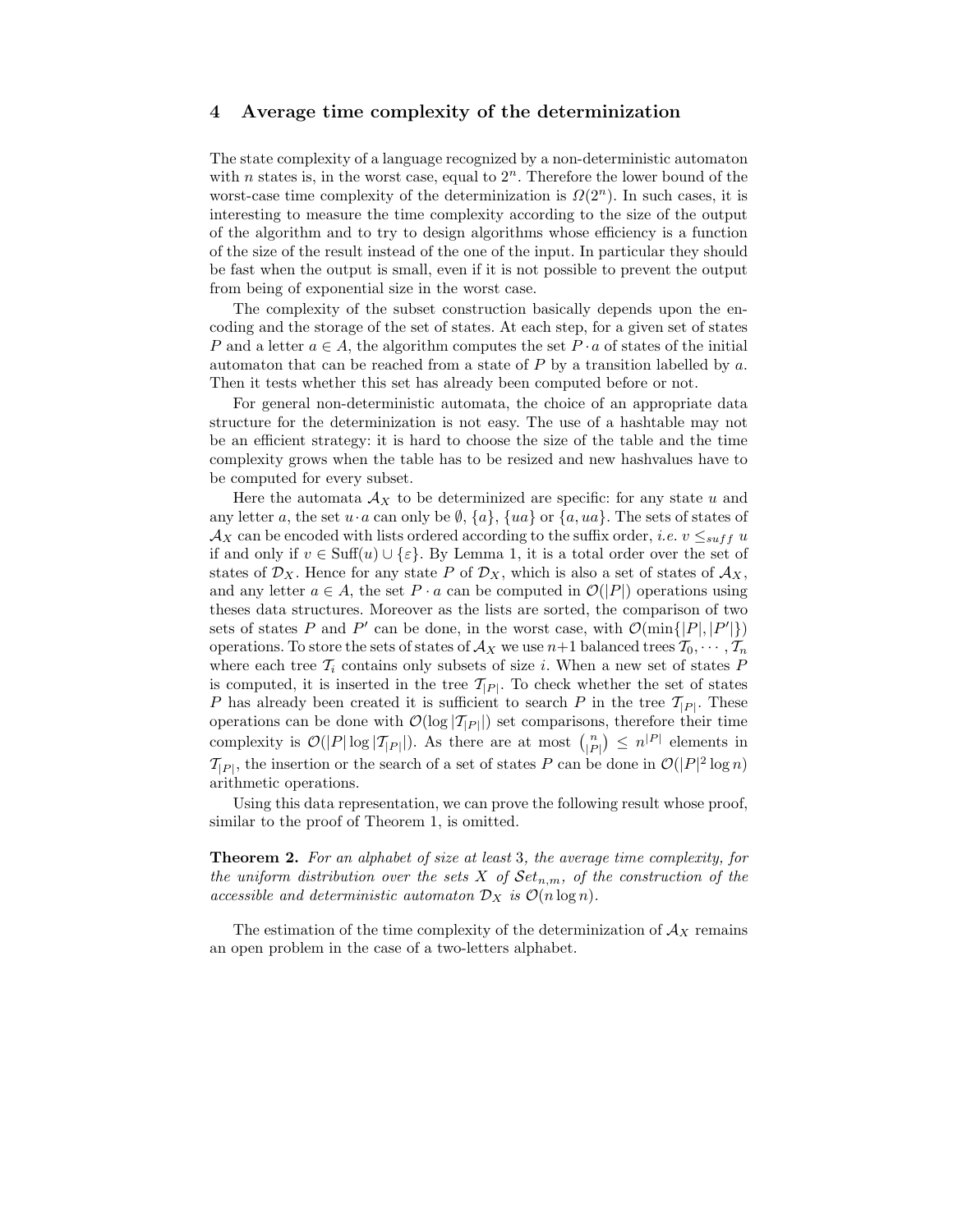## 4 Average time complexity of the determinization

The state complexity of a language recognized by a non-deterministic automaton with *n* states is, in the worst case, equal to  $2<sup>n</sup>$ . Therefore the lower bound of the worst-case time complexity of the determinization is  $\Omega(2^n)$ . In such cases, it is interesting to measure the time complexity according to the size of the output of the algorithm and to try to design algorithms whose efficiency is a function of the size of the result instead of the one of the input. In particular they should be fast when the output is small, even if it is not possible to prevent the output from being of exponential size in the worst case.

The complexity of the subset construction basically depends upon the encoding and the storage of the set of states. At each step, for a given set of states P and a letter  $a \in A$ , the algorithm computes the set  $P \cdot a$  of states of the initial automaton that can be reached from a state of P by a transition labelled by a. Then it tests whether this set has already been computed before or not.

For general non-deterministic automata, the choice of an appropriate data structure for the determinization is not easy. The use of a hashtable may not be an efficient strategy: it is hard to choose the size of the table and the time complexity grows when the table has to be resized and new hashvalues have to be computed for every subset.

Here the automata  $\mathcal{A}_X$  to be determinized are specific: for any state u and any letter a, the set  $u \cdot a$  can only be  $\emptyset$ ,  $\{a\}$ ,  $\{ua\}$  or  $\{a, ua\}$ . The sets of states of  $\mathcal{A}_X$  can be encoded with lists ordered according to the suffix order, *i.e.*  $v \leq_{suff} u$ if and only if  $v \in \text{Suff}(u) \cup \{\varepsilon\}$ . By Lemma 1, it is a total order over the set of states of  $\mathcal{D}_X$ . Hence for any state P of  $\mathcal{D}_X$ , which is also a set of states of  $\mathcal{A}_X$ , and any letter  $a \in A$ , the set  $P \cdot a$  can be computed in  $\mathcal{O}(|P|)$  operations using theses data structures. Moreover as the lists are sorted, the comparison of two sets of states P and P' can be done, in the worst case, with  $\mathcal{O}(\min\{|P|, |P'|\})$ operations. To store the sets of states of  $\mathcal{A}_X$  we use  $n+1$  balanced trees  $\mathcal{T}_0, \cdots, \mathcal{T}_n$ where each tree  $\mathcal{T}_i$  contains only subsets of size i. When a new set of states P is computed, it is inserted in the tree  $\mathcal{T}_{|P|}$ . To check whether the set of states P has already been created it is sufficient to search P in the tree  $\mathcal{T}_{|P|}$ . These operations can be done with  $\mathcal{O}(\log |T_{|P|})$  set comparisons, therefore their time complexity is  $\mathcal{O}(|P|\log|\mathcal{T}_{|P|}|)$ . As there are at most  $\binom{n}{|P|} \leq n^{|P|}$  elements in  $\mathcal{T}_{|P|}$ , the insertion or the search of a set of states P can be done in  $\mathcal{O}(|P|^2 \log n)$ arithmetic operations.

Using this data representation, we can prove the following result whose proof, similar to the proof of Theorem 1, is omitted.

Theorem 2. For an alphabet of size at least 3, the average time complexity, for the uniform distribution over the sets X of  $\mathcal{S}et_{n,m}$ , of the construction of the accessible and deterministic automator  $\mathcal{D}_X$  is  $\mathcal{O}(n \log n)$ .

The estimation of the time complexity of the determinization of  $A_X$  remains an open problem in the case of a two-letters alphabet.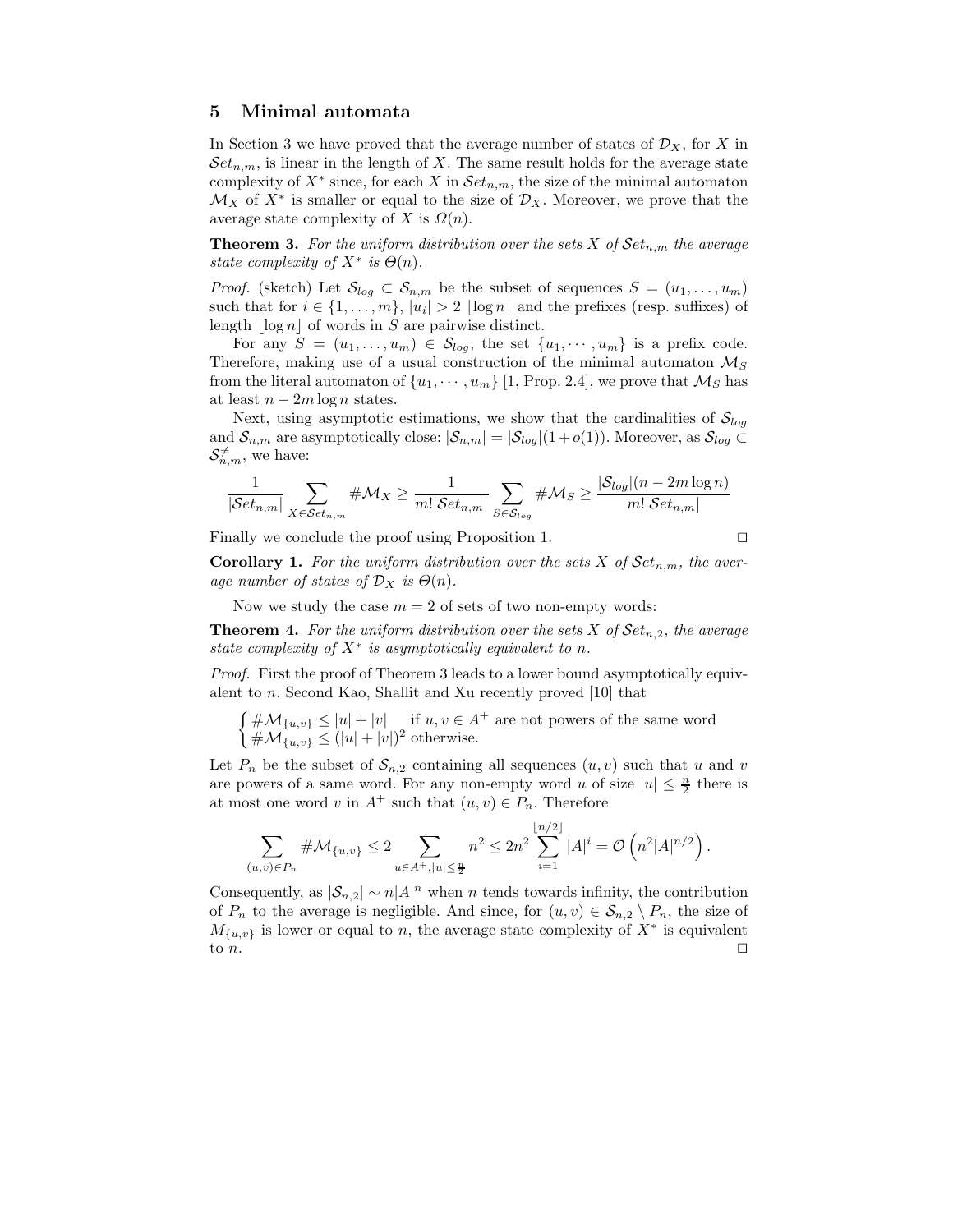## 5 Minimal automata

In Section 3 we have proved that the average number of states of  $\mathcal{D}_X$ , for X in  $Set_{n,m}$ , is linear in the length of X. The same result holds for the average state complexity of  $X^*$  since, for each X in  $Set_{n,m}$ , the size of the minimal automaton  $\mathcal{M}_X$  of  $X^*$  is smaller or equal to the size of  $\mathcal{D}_X$ . Moreover, we prove that the average state complexity of X is  $\Omega(n)$ .

**Theorem 3.** For the uniform distribution over the sets X of  $Set_{n,m}$  the average state complexity of  $X^*$  is  $\Theta(n)$ .

*Proof.* (sketch) Let  $S_{log} \subset S_{n,m}$  be the subset of sequences  $S = (u_1, \ldots, u_m)$ such that for  $i \in \{1, \ldots, m\}$ ,  $|u_i| > 2 \lfloor \log n \rfloor$  and the prefixes (resp. suffixes) of length  $\log n |$  of words in S are pairwise distinct.

For any  $S = (u_1, \ldots, u_m) \in S_{log}$ , the set  $\{u_1, \cdots, u_m\}$  is a prefix code. Therefore, making use of a usual construction of the minimal automaton  $\mathcal{M}_S$ from the literal automaton of  $\{u_1, \dots, u_m\}$  [1, Prop. 2.4], we prove that  $\mathcal{M}_S$  has at least  $n - 2m \log n$  states.

Next, using asymptotic estimations, we show that the cardinalities of  $S_{log}$ and  $S_{n,m}$  are asymptotically close:  $|S_{n,m}| = |S_{log}|(1+o(1))$ . Moreover, as  $S_{log} \subset$  $\mathcal{S}_{n,m}^{\neq}$ , we have:

$$
\frac{1}{|\mathcal{S}et_{n,m}|}\sum_{X \in \mathcal{S}et_{n,m}} \#\mathcal{M}_X \ge \frac{1}{m!|\mathcal{S}et_{n,m}|}\sum_{S \in \mathcal{S}_{log}} \#\mathcal{M}_S \ge \frac{|\mathcal{S}_{log}|(n-2m\log n)}{m!|\mathcal{S}et_{n,m}|}
$$

Finally we conclude the proof using Proposition 1. ⊓⊔

**Corollary 1.** For the uniform distribution over the sets X of  $Set_{n,m}$ , the average number of states of  $\mathcal{D}_X$  is  $\Theta(n)$ .

Now we study the case  $m = 2$  of sets of two non-empty words:

**Theorem 4.** For the uniform distribution over the sets X of  $Set_{n,2}$ , the average state complexity of  $X^*$  is asymptotically equivalent to n.

Proof. First the proof of Theorem 3 leads to a lower bound asymptotically equivalent to n. Second Kao, Shallit and Xu recently proved [10] that

 $\int \# \mathcal{M}_{\{u,v\}} \leq |u| + |v|$  if  $u, v \in A^+$  are not powers of the same word  $\#\mathcal{M}_{\{u,v\}} \leq (|u|+|v|)^2$  otherwise.

Let  $P_n$  be the subset of  $S_{n,2}$  containing all sequences  $(u, v)$  such that u and v are powers of a same word. For any non-empty word u of size  $|u| \leq \frac{n}{2}$  there is at most one word v in  $A^+$  such that  $(u, v) \in P_n$ . Therefore

$$
\sum_{(u,v)\in P_n} \#\mathcal{M}_{\{u,v\}} \leq 2 \sum_{u\in A^+, |u|\leq \frac{n}{2}} n^2 \leq 2n^2 \sum_{i=1}^{\lfloor n/2 \rfloor} |A|^i = \mathcal{O}\left(n^2|A|^{n/2}\right).
$$

Consequently, as  $|\mathcal{S}_{n,2}| \sim n |A|^n$  when n tends towards infinity, the contribution of  $P_n$  to the average is negligible. And since, for  $(u, v) \in S_{n,2} \setminus P_n$ , the size of  $M_{\{u,v\}}$  is lower or equal to n, the average state complexity of  $X^*$  is equivalent to n.

$$
\Box
$$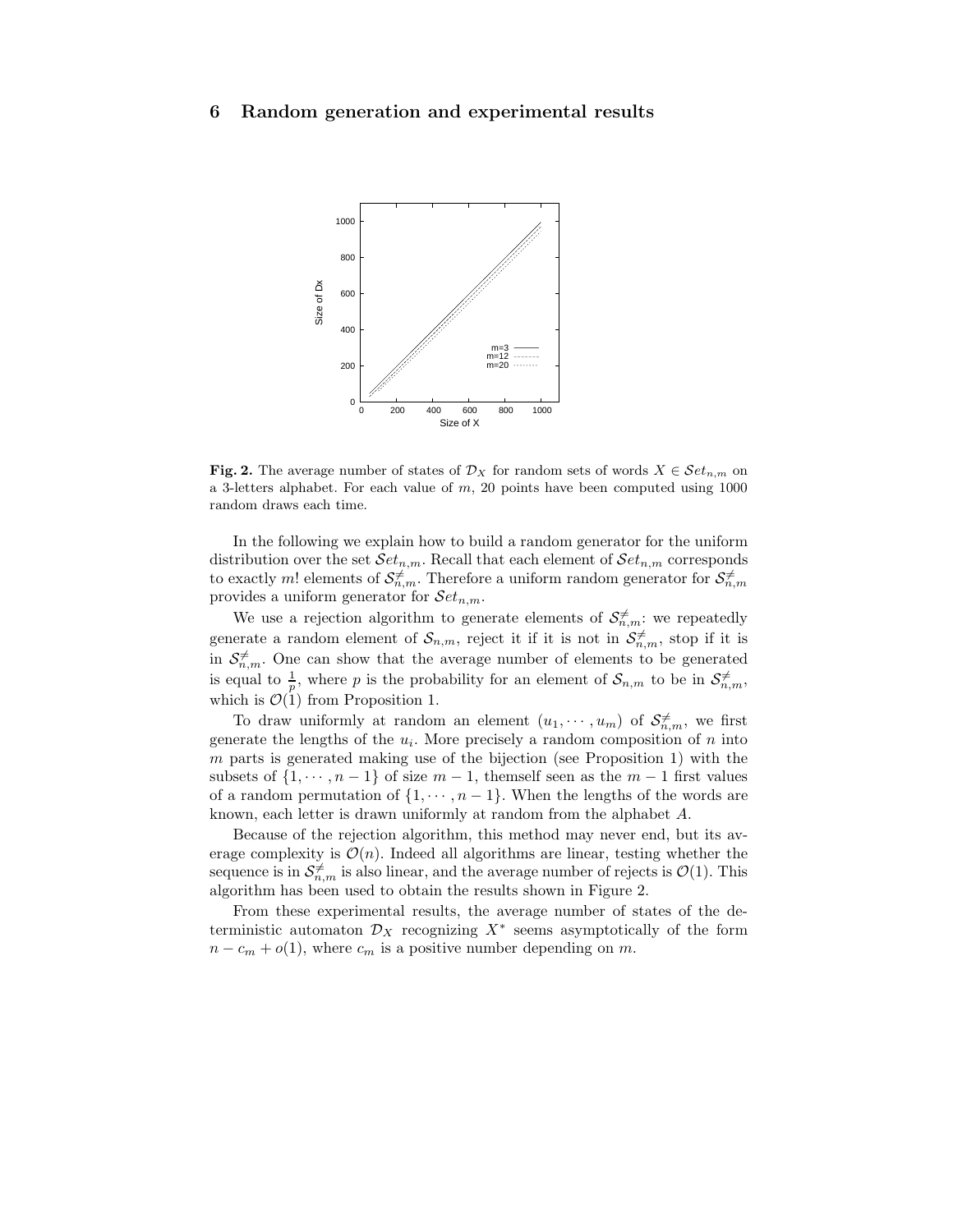## 6 Random generation and experimental results



Fig. 2. The average number of states of  $\mathcal{D}_X$  for random sets of words  $X \in \mathcal{S}et_{n,m}$  on a 3-letters alphabet. For each value of  $m$ , 20 points have been computed using  $1000$ random draws each time.

In the following we explain how to build a random generator for the uniform distribution over the set  $\mathcal Set_{n,m}$ . Recall that each element of  $\mathcal Set_{n,m}$  corresponds to exactly m! elements of  $\mathcal{S}_{n,m}^{\neq}$ . Therefore a uniform random generator for  $\mathcal{S}_{n,m}^{\neq}$ provides a uniform generator for  $\mathcal{S}et_{n,m}$ .

We use a rejection algorithm to generate elements of  $S_{n,m}^{\neq}$ : we repeatedly generate a random element of  $\mathcal{S}_{n,m}$ , reject it if it is not in  $\mathcal{S}_{n,m}^{\neq}$ , stop if it is in  $S_{n,m}^{\neq}$ . One can show that the average number of elements to be generated is equal to  $\frac{1}{p}$ , where p is the probability for an element of  $\mathcal{S}_{n,m}$  to be in  $\mathcal{S}_{n,m}^{\neq}$ , which is  $\mathcal{O}(1)$  from Proposition 1.

To draw uniformly at random an element  $(u_1, \dots, u_m)$  of  $S_{n,m}^{\neq}$ , we first generate the lengths of the  $u_i$ . More precisely a random composition of n into  $m$  parts is generated making use of the bijection (see Proposition 1) with the subsets of  $\{1, \dots, n-1\}$  of size  $m-1$ , themself seen as the  $m-1$  first values of a random permutation of  $\{1, \dots, n-1\}$ . When the lengths of the words are known, each letter is drawn uniformly at random from the alphabet A.

Because of the rejection algorithm, this method may never end, but its average complexity is  $\mathcal{O}(n)$ . Indeed all algorithms are linear, testing whether the sequence is in  $\mathcal{S}_{n,m}^{\neq}$  is also linear, and the average number of rejects is  $\mathcal{O}(1)$ . This algorithm has been used to obtain the results shown in Figure 2.

From these experimental results, the average number of states of the deterministic automaton  $\mathcal{D}_X$  recognizing  $X^*$  seems asymptotically of the form  $n - c_m + o(1)$ , where  $c_m$  is a positive number depending on m.